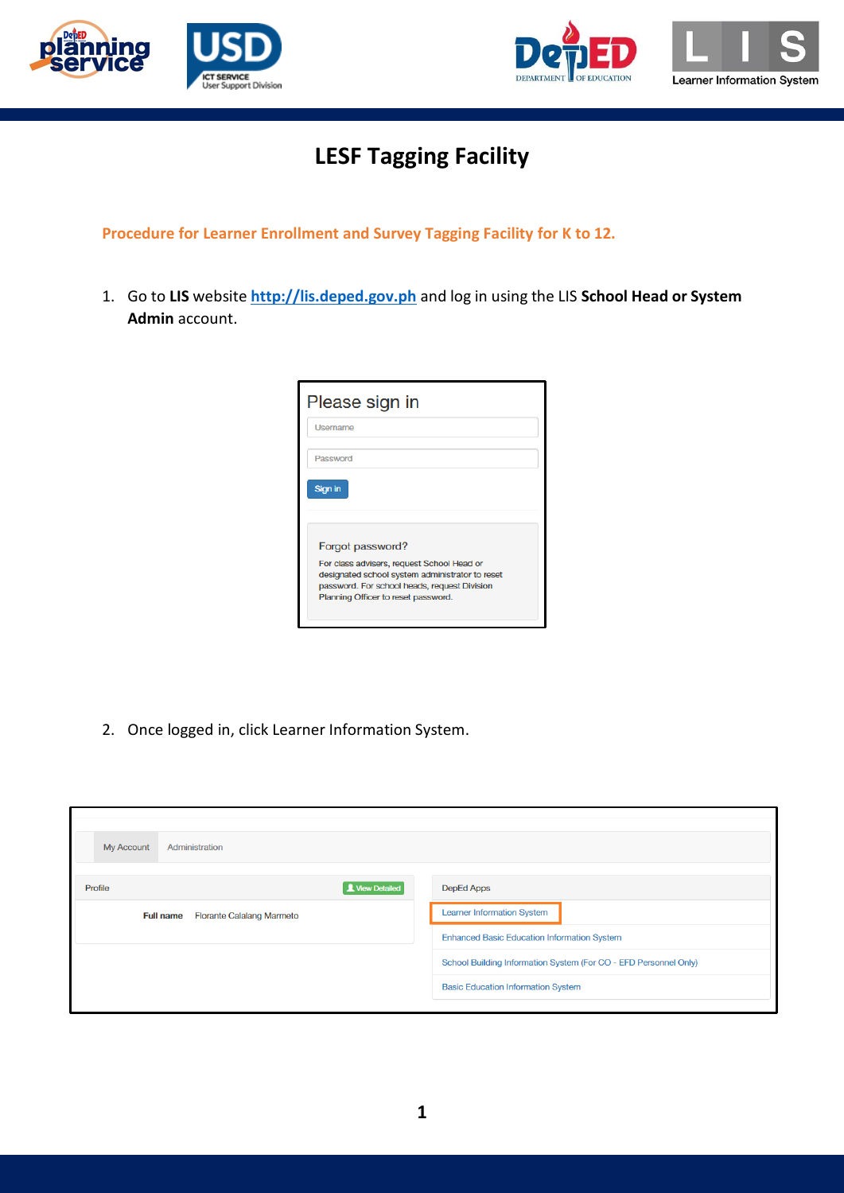



## **LESF Tagging Facility**

**Procedure for Learner Enrollment and Survey Tagging Facility for K to 12.**

1. Go to **LIS** website **[http://lis.deped.gov.ph](http://lis.deped.gov.ph/)** and log in using the LIS **School Head or System Admin** account.

| Please sign in                                                                                                                                                                       |  |
|--------------------------------------------------------------------------------------------------------------------------------------------------------------------------------------|--|
| <b>Username</b>                                                                                                                                                                      |  |
| Password                                                                                                                                                                             |  |
| Sign in                                                                                                                                                                              |  |
|                                                                                                                                                                                      |  |
| Forgot password?                                                                                                                                                                     |  |
| For class advisers, request School Head or<br>designated school system administrator to reset<br>password. For school heads, request Division<br>Planning Officer to reset password. |  |
|                                                                                                                                                                                      |  |

2. Once logged in, click Learner Information System.

| <b>My Account</b><br>Administration                  |                                                                  |
|------------------------------------------------------|------------------------------------------------------------------|
| View Detailed<br>Profile                             | DepEd Apps                                                       |
| <b>Florante Calalang Marmeto</b><br><b>Full name</b> | <b>Learner Information System</b>                                |
|                                                      | <b>Enhanced Basic Education Information System</b>               |
|                                                      | School Building Information System (For CO - EFD Personnel Only) |
|                                                      | <b>Basic Education Information System</b>                        |
|                                                      |                                                                  |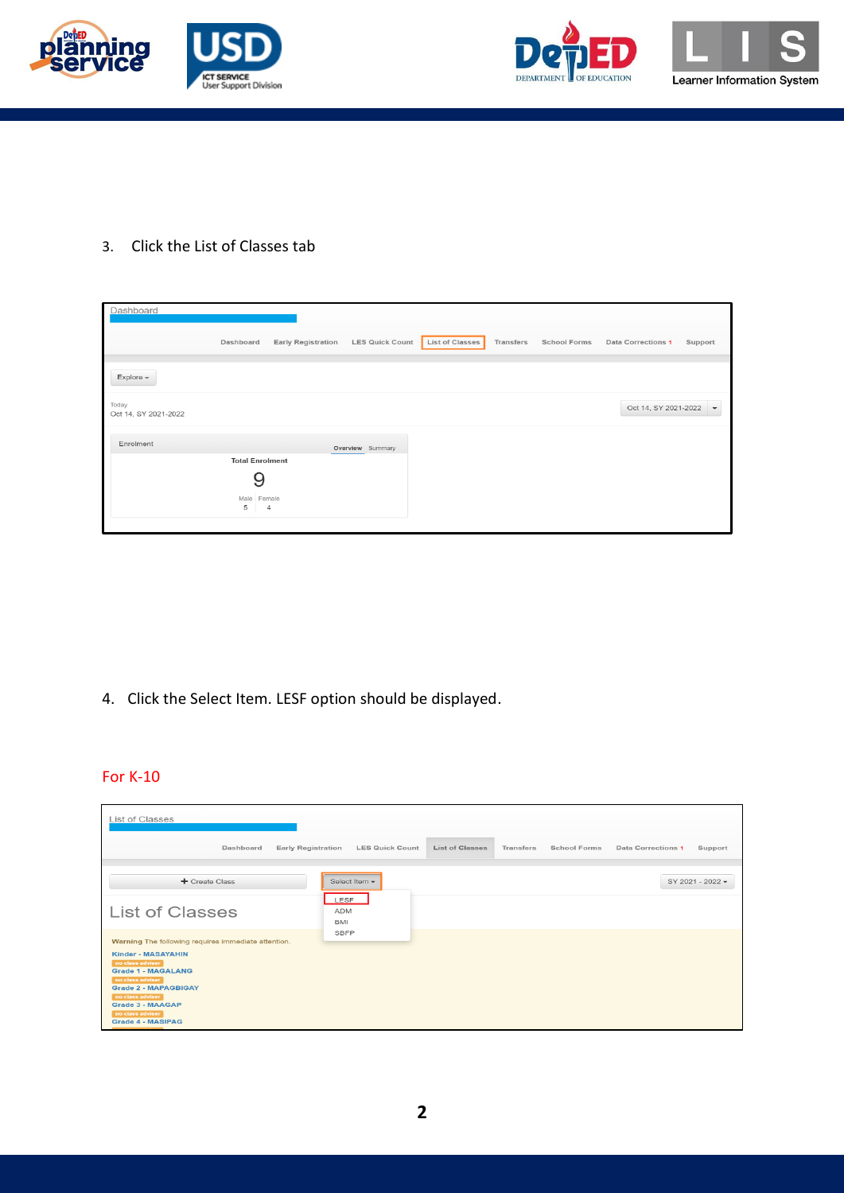



3. Click the List of Classes tab

| Dashboard            |                               |                |                                    |                 |           |                     |                        |         |
|----------------------|-------------------------------|----------------|------------------------------------|-----------------|-----------|---------------------|------------------------|---------|
|                      |                               |                |                                    |                 |           |                     |                        |         |
|                      | Dashboard                     |                | Early Registration LES Quick Count | List of Classes | Transfers | <b>School Forms</b> | Data Corrections 1     | Support |
|                      |                               |                |                                    |                 |           |                     |                        |         |
| $Explore -$          |                               |                |                                    |                 |           |                     |                        |         |
| Today                |                               |                |                                    |                 |           |                     |                        |         |
| Oct 14, SY 2021-2022 |                               |                |                                    |                 |           |                     | Oct 14, SY 2021-2022 - |         |
|                      |                               |                |                                    |                 |           |                     |                        |         |
| Enrolment            |                               |                | Overview Summary                   |                 |           |                     |                        |         |
|                      | <b>Total Enrolment</b>        |                |                                    |                 |           |                     |                        |         |
|                      | 9                             |                |                                    |                 |           |                     |                        |         |
|                      |                               |                |                                    |                 |           |                     |                        |         |
|                      | Male Female<br>5 <sub>5</sub> | $\overline{4}$ |                                    |                 |           |                     |                        |         |
|                      |                               |                |                                    |                 |           |                     |                        |         |
|                      |                               |                |                                    |                 |           |                     |                        |         |

4. Click the Select Item. LESF option should be displayed.

## For K-10

| List of Classes                                                                                                                                                                                                                                                                     |                                                  |                                  |                               |
|-------------------------------------------------------------------------------------------------------------------------------------------------------------------------------------------------------------------------------------------------------------------------------------|--------------------------------------------------|----------------------------------|-------------------------------|
| Dashboard<br><b>Early Registration</b>                                                                                                                                                                                                                                              | <b>LES Quick Count</b><br><b>List of Classes</b> | Transfers<br><b>School Forms</b> | Data Corrections 1<br>Support |
| + Create Class                                                                                                                                                                                                                                                                      | Select Item -                                    |                                  | SY 2021 - 2022 -              |
| <b>List of Classes</b>                                                                                                                                                                                                                                                              | LESF<br><b>ADM</b><br>BMI                        |                                  |                               |
| Warning The following requires immediate attention.<br><b>Kinder - MASAYAHIN</b><br>no class adviser<br><b>Grade 1 - MAGALANG</b><br>no class adviser<br><b>Grade 2 - MAPAGBIGAY</b><br>no class adviser<br><b>Grade 3 - MAAGAP</b><br>no class adviser<br><b>Grade 4 - MASIPAG</b> | <b>SBFP</b>                                      |                                  |                               |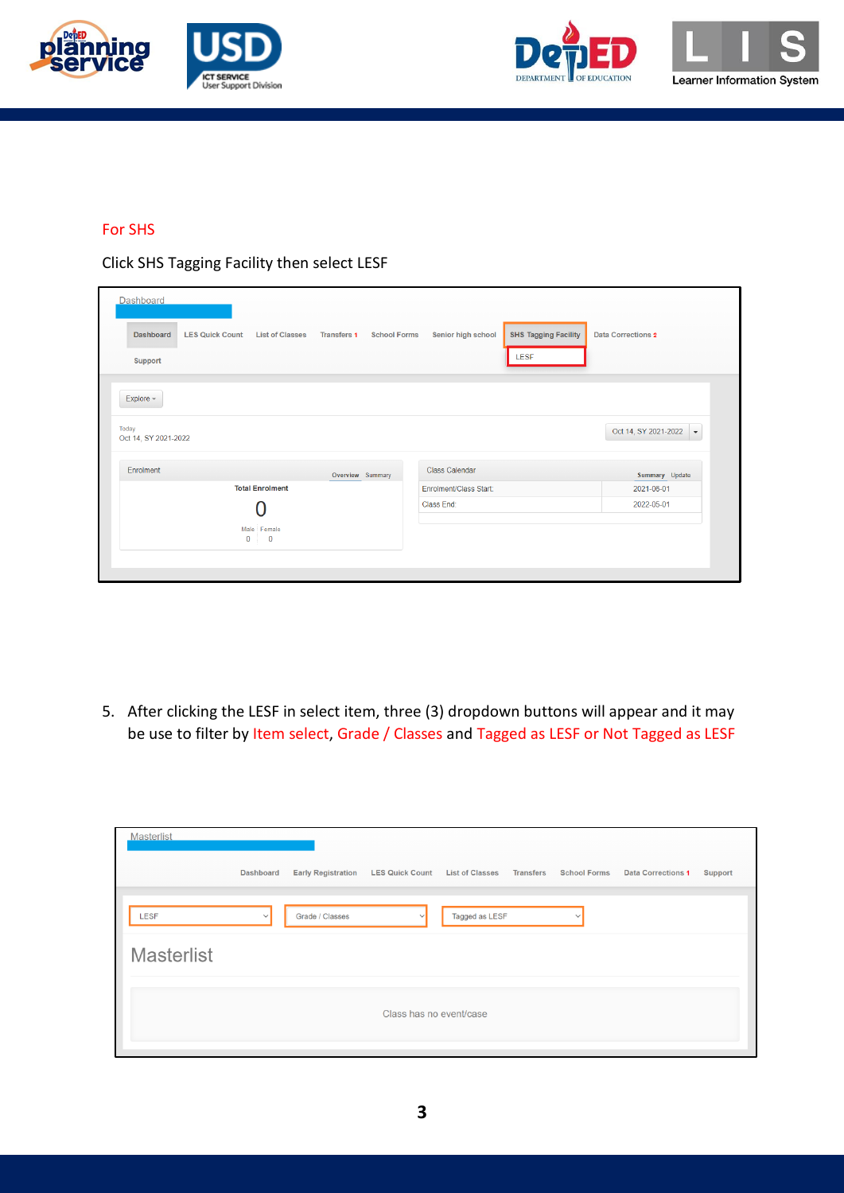





## For SHS

Click SHS Tagging Facility then select LESF

| <b>Dashboard</b>                                                     |                                           |                        |                             |                           |
|----------------------------------------------------------------------|-------------------------------------------|------------------------|-----------------------------|---------------------------|
| <b>LES Quick Count</b><br><b>List of Classes</b><br><b>Dashboard</b> | <b>Transfers 1</b><br><b>School Forms</b> | Senior high school     | <b>SHS Tagging Facility</b> | <b>Data Corrections 2</b> |
| Support                                                              |                                           |                        | LESF                        |                           |
| Explore -                                                            |                                           |                        |                             |                           |
| Today<br>Oct 14, SY 2021-2022                                        |                                           |                        |                             | Oct 14, SY 2021-2022 -    |
| Enrolment                                                            | Overview Summary                          | <b>Class Calendar</b>  |                             | Summary Update            |
| <b>Total Enrolment</b>                                               |                                           | Enrolment/Class Start: |                             | 2021-06-01                |
|                                                                      |                                           | Class End:             |                             | 2022-05-01                |
| Male Female<br>$\mathbf{0}$<br>$\overline{\mathbf{0}}$               |                                           |                        |                             |                           |
|                                                                      |                                           |                        |                             |                           |

5. After clicking the LESF in select item, three (3) dropdown buttons will appear and it may be use to filter by Item select, Grade / Classes and Tagged as LESF or Not Tagged as LESF

| <b>Masterlist</b> |                  |                           |                                 |                |                  |                     |                           |                |
|-------------------|------------------|---------------------------|---------------------------------|----------------|------------------|---------------------|---------------------------|----------------|
|                   | <b>Dashboard</b> | <b>Early Registration</b> | LES Quick Count List of Classes |                | <b>Transfers</b> | <b>School Forms</b> | <b>Data Corrections 1</b> | <b>Support</b> |
| <b>LESF</b>       | $\checkmark$     | Grade / Classes           |                                 | Tagged as LESF |                  | $\checkmark$        |                           |                |
| <b>Masterlist</b> |                  |                           |                                 |                |                  |                     |                           |                |
|                   |                  |                           | Class has no event/case         |                |                  |                     |                           |                |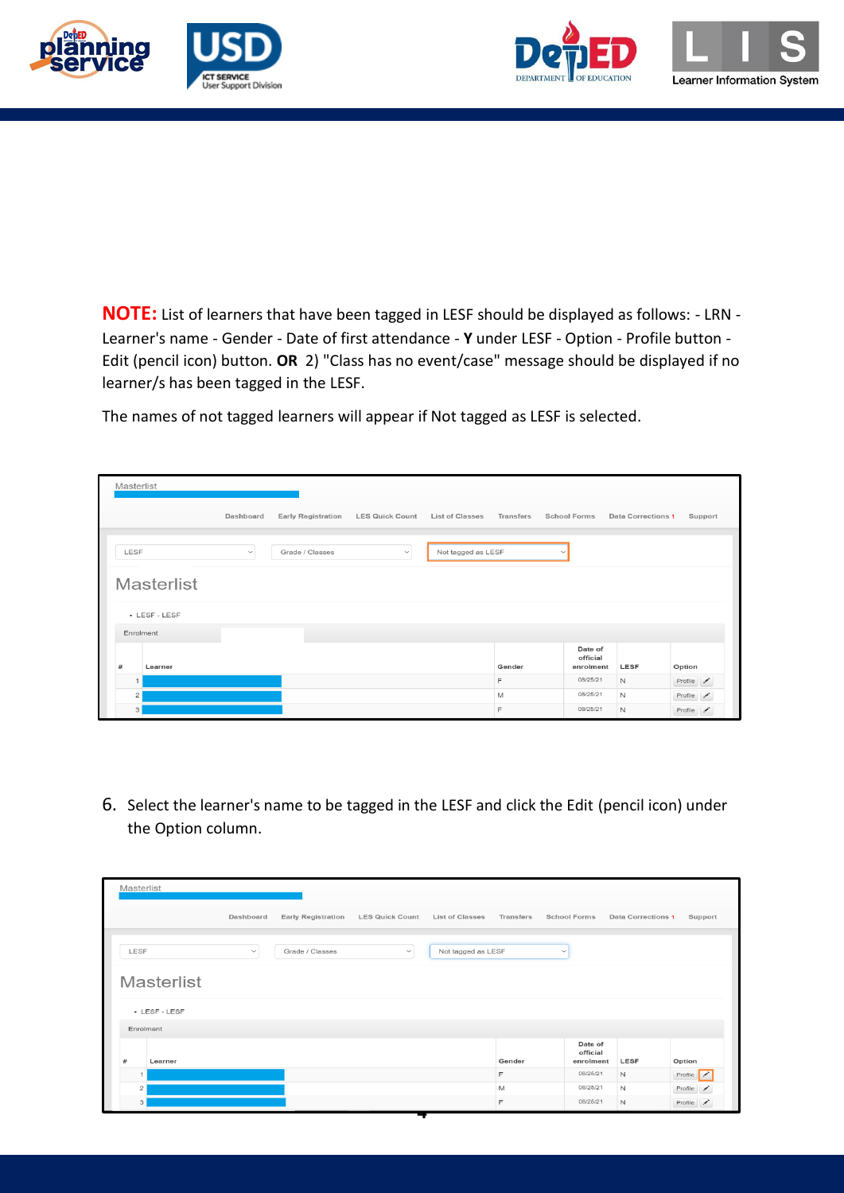





**NOTE:** List of learners that have been tagged in LESF should be displayed as follows: - LRN - Learner's name - Gender - Date of first attendance - **Y** under LESF - Option - Profile button - Edit (pencil icon) button. **OR** 2) "Class has no event/case" message should be displayed if no learner/s has been tagged in the LESF.

The names of not tagged learners will appear if Not tagged as LESF is selected.

| Masterlist        |              |                           |                        |                        |           |                                  |                    |         |
|-------------------|--------------|---------------------------|------------------------|------------------------|-----------|----------------------------------|--------------------|---------|
|                   | Dashboard    | <b>Early Registration</b> | <b>LES Quick Count</b> | <b>List of Classes</b> | Transfers | <b>School Forms</b>              | Data Corrections 1 | Support |
| LESF              | $\checkmark$ | Grade / Classes           | $\checkmark$           | Not tagged as LESF     |           | $\check{ }$                      |                    |         |
| <b>Masterlist</b> |              |                           |                        |                        |           |                                  |                    |         |
| • LESF - LESF     |              |                           |                        |                        |           |                                  |                    |         |
| Enrolment         |              |                           |                        |                        |           |                                  |                    |         |
| #<br>Learner      |              |                           |                        |                        | Gender    | Date of<br>official<br>enrolment | LESF               | Option  |
| $\mathbf{1}$      |              |                           |                        |                        | F         | 08/25/21                         | N                  | Profile |
| $\overline{c}$    |              |                           |                        |                        | M         | 08/25/21                         | N                  | Profile |
| 3                 |              |                           |                        |                        | F         | 08/25/21                         | N                  | Profile |

6. Select the learner's name to be tagged in the LESF and click the Edit (pencil icon) under the Option column.

|                    | Dashboard    | <b>Early Registration</b> | <b>LES Quick Count</b> | <b>List of Classes</b> | Transfers | <b>School Forms</b>              | <b>Data Corrections 1</b> | Support                      |
|--------------------|--------------|---------------------------|------------------------|------------------------|-----------|----------------------------------|---------------------------|------------------------------|
| LESF               | $\checkmark$ | Grade / Classes           | $\checkmark$           | Not tagged as LESF     |           | $\checkmark$                     |                           |                              |
| <b>Masterlist</b>  |              |                           |                        |                        |           |                                  |                           |                              |
| • LESF - LESF      |              |                           |                        |                        |           |                                  |                           |                              |
| Enrolment          |              |                           |                        |                        |           |                                  |                           |                              |
| $^{\#}$<br>Learner |              |                           |                        |                        | Gender    | Date of<br>official<br>enrolment | LESF                      | Option                       |
|                    |              |                           |                        |                        | F         | 08/25/21                         | $\mathsf{N}$              | Profile /                    |
| $\overline{1}$     |              |                           |                        |                        | M         | 08/25/21                         | N                         | Profile $\sqrt{\phantom{a}}$ |
| $\overline{2}$     |              |                           |                        |                        |           |                                  |                           |                              |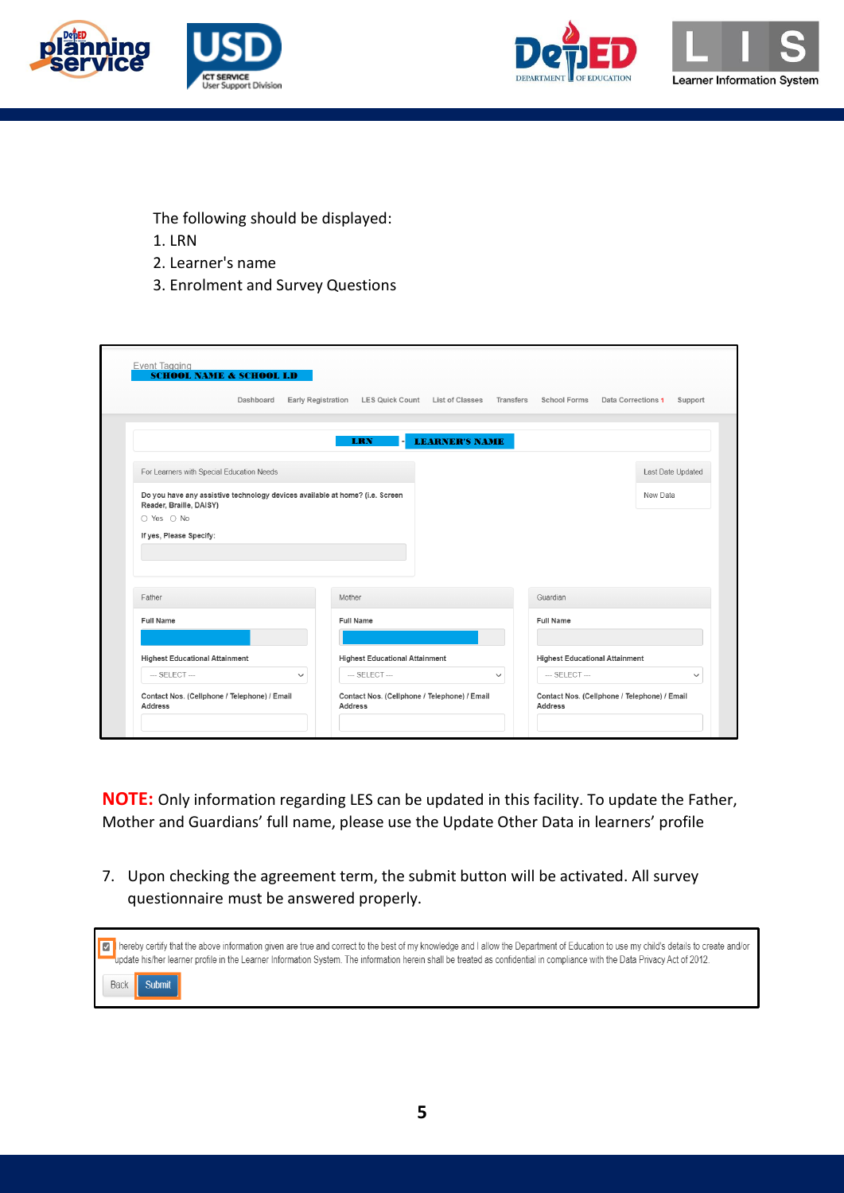





The following should be displayed:

- 1. LRN
- 2. Learner's name
- 3. Enrolment and Survey Questions

|                                                                                                         | Dashboard    |                  | Early Registration LES Quick Count List of Classes Transfers |             | <b>School Forms</b>                   | Data Corrections 1<br>Support |
|---------------------------------------------------------------------------------------------------------|--------------|------------------|--------------------------------------------------------------|-------------|---------------------------------------|-------------------------------|
|                                                                                                         |              |                  |                                                              |             |                                       |                               |
|                                                                                                         |              | <b>LRN</b>       | <b>LEARNER'S NAME</b>                                        |             |                                       |                               |
| For Learners with Special Education Needs                                                               |              |                  |                                                              |             |                                       | Last Date Updated             |
| Do you have any assistive technology devices available at home? (i.e. Screen<br>Reader, Braille, DAISY) |              |                  |                                                              |             |                                       | New Data                      |
| ○ Yes ○ No                                                                                              |              |                  |                                                              |             |                                       |                               |
|                                                                                                         |              |                  |                                                              |             |                                       |                               |
| If yes, Please Specify:                                                                                 |              |                  |                                                              |             |                                       |                               |
|                                                                                                         |              |                  |                                                              |             |                                       |                               |
|                                                                                                         |              |                  |                                                              |             |                                       |                               |
| Father                                                                                                  |              | Mother           |                                                              |             | Guardian                              |                               |
| <b>Full Name</b>                                                                                        |              | <b>Full Name</b> |                                                              |             | <b>Full Name</b>                      |                               |
|                                                                                                         |              |                  |                                                              |             |                                       |                               |
| <b>Highest Educational Attainment</b>                                                                   |              |                  | <b>Highest Educational Attainment</b>                        |             | <b>Highest Educational Attainment</b> |                               |
| $-$ SELECT $-$                                                                                          | $\checkmark$ | $-$ SELECT $-$   |                                                              | $\check{~}$ | $-$ SELECT $-$                        | $\checkmark$                  |

**NOTE:** Only information regarding LES can be updated in this facility. To update the Father, Mother and Guardians' full name, please use the Update Other Data in learners' profile

7. Upon checking the agreement term, the submit button will be activated. All survey questionnaire must be answered properly.

| Tereby certify that the above information given are true and correct to the best of my knowledge and I allow the Department of Education to use my child's details to create and/or<br>-update his/her learner profile in the Learner Information System. The information herein shall be treated as confidential in compliance with the Data Privacy Act of 2012. |
|--------------------------------------------------------------------------------------------------------------------------------------------------------------------------------------------------------------------------------------------------------------------------------------------------------------------------------------------------------------------|
| Submit<br>Back                                                                                                                                                                                                                                                                                                                                                     |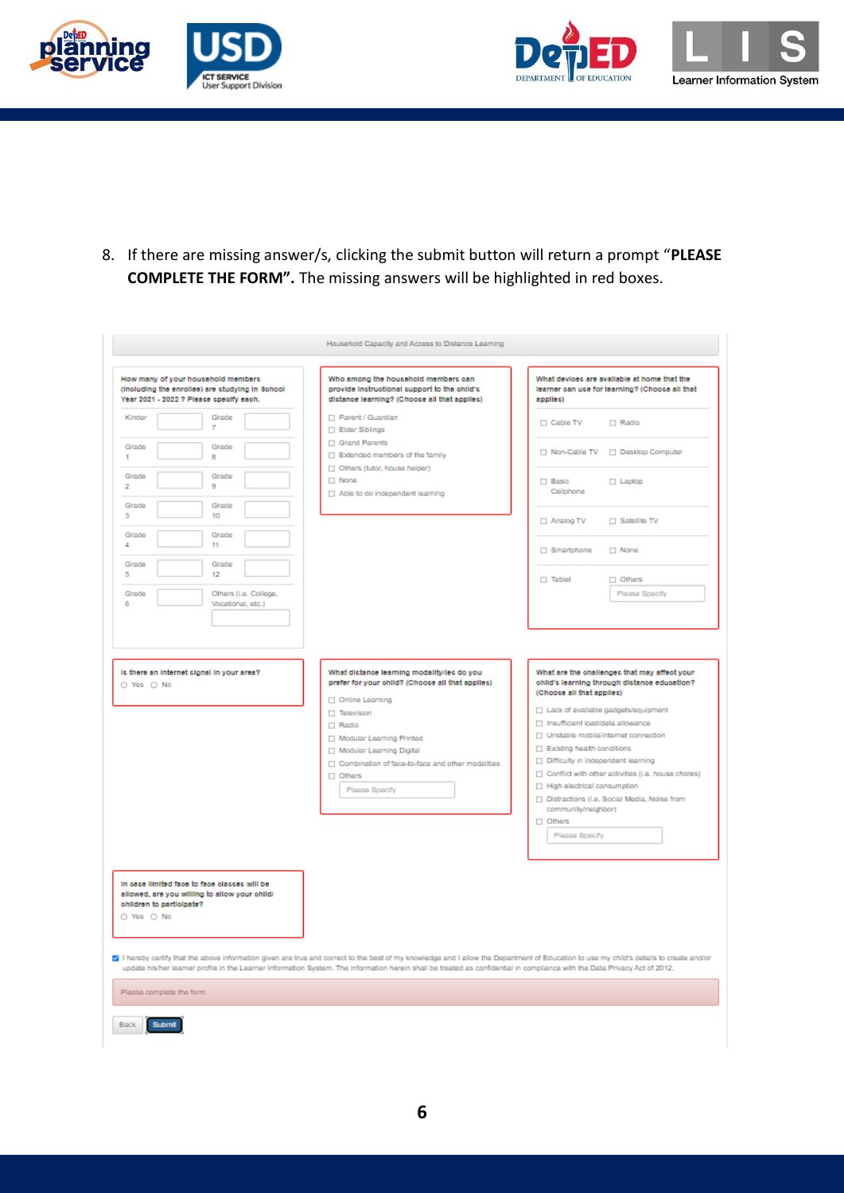





8. If there are missing answer/s, clicking the submit button will return a prompt "**PLEASE COMPLETE THE FORM".** The missing answers will be highlighted in red boxes.

| How many of your household members<br>(including the enrollee) are studying in School<br>Year 2021 - 2022 ? Please specify each. | Who among the household members can<br>provide instructional support to the child's<br>dictance learning? (Choose all that applies)                                                                                                                                                                                                                                     | applies)                                                                                                                        | What devices are available at home that the<br>learner can use for learning? (Choose all that                                              |
|----------------------------------------------------------------------------------------------------------------------------------|-------------------------------------------------------------------------------------------------------------------------------------------------------------------------------------------------------------------------------------------------------------------------------------------------------------------------------------------------------------------------|---------------------------------------------------------------------------------------------------------------------------------|--------------------------------------------------------------------------------------------------------------------------------------------|
| Kinder<br>Grade<br>7                                                                                                             | Parent / Guardian<br>Elder Siblings                                                                                                                                                                                                                                                                                                                                     | $\Box$ Cable TV                                                                                                                 | $\Box$ Radio                                                                                                                               |
| Grade<br>Grade<br>1<br>8                                                                                                         | Grand Parents<br>$\Box$ Extended members of the family                                                                                                                                                                                                                                                                                                                  |                                                                                                                                 | □ Non-Cable TV □ Desktop Computer                                                                                                          |
|                                                                                                                                  | Others (tutor, house helper)                                                                                                                                                                                                                                                                                                                                            |                                                                                                                                 |                                                                                                                                            |
| Grade<br>Grade<br>9<br>2                                                                                                         | $\Box$ None                                                                                                                                                                                                                                                                                                                                                             | $\Box$ Basic                                                                                                                    | $\Box$ Laptop                                                                                                                              |
|                                                                                                                                  | $\Box$ Able to do independent learning                                                                                                                                                                                                                                                                                                                                  | Cellphone                                                                                                                       |                                                                                                                                            |
| Grade<br>Grade<br>10<br>з                                                                                                        |                                                                                                                                                                                                                                                                                                                                                                         | □ Analog TV                                                                                                                     | $\Box$ Satellite TV                                                                                                                        |
| Grade<br>Grade<br>4                                                                                                              |                                                                                                                                                                                                                                                                                                                                                                         |                                                                                                                                 |                                                                                                                                            |
| 11<br>Grade<br>Grade                                                                                                             |                                                                                                                                                                                                                                                                                                                                                                         | □ Smartphone                                                                                                                    | $\Box$ None                                                                                                                                |
| 5<br>12                                                                                                                          |                                                                                                                                                                                                                                                                                                                                                                         | $\Box$ Tablet                                                                                                                   | $\Box$ Others                                                                                                                              |
| Grade<br>Others (i.e. College,                                                                                                   |                                                                                                                                                                                                                                                                                                                                                                         |                                                                                                                                 | Please Specify                                                                                                                             |
| Б<br>Vocational, etc.)                                                                                                           |                                                                                                                                                                                                                                                                                                                                                                         |                                                                                                                                 |                                                                                                                                            |
|                                                                                                                                  | Modular Learning Printed<br>Modular Learning Digital<br>□ Combination of face-to-face and other modalities<br>$\Box$ Others<br>Please Specify                                                                                                                                                                                                                           | $\Box$ Existing health conditions<br>Difficulty in independent learning<br>□ High electrical consumption<br>community/neighbor) | □ Unstable mobile/internet connection<br>Conflict with other activities (i.e. house chores)<br>Distractions (i.e. Social Media, Noise from |
|                                                                                                                                  |                                                                                                                                                                                                                                                                                                                                                                         | $\Box$ Others                                                                                                                   |                                                                                                                                            |
|                                                                                                                                  |                                                                                                                                                                                                                                                                                                                                                                         | Please Specify                                                                                                                  |                                                                                                                                            |
| In case limited face to face classes will be<br>allowed, are you willing to allow your child/<br>children to participate?        |                                                                                                                                                                                                                                                                                                                                                                         |                                                                                                                                 |                                                                                                                                            |
| O Yes O No                                                                                                                       |                                                                                                                                                                                                                                                                                                                                                                         |                                                                                                                                 |                                                                                                                                            |
|                                                                                                                                  |                                                                                                                                                                                                                                                                                                                                                                         |                                                                                                                                 |                                                                                                                                            |
|                                                                                                                                  | [a] I hereby certify that the above information given are true and correct to the best of my knowledge and I allow the Department of Education to use my child's details to create and/or<br>update his/her learner profile in the Learner Information System. The information herein shall be treated as confidential in compliance with the Data Privacy Act of 2012. |                                                                                                                                 |                                                                                                                                            |
|                                                                                                                                  |                                                                                                                                                                                                                                                                                                                                                                         |                                                                                                                                 |                                                                                                                                            |
| Please complete the form.<br>Submit<br>Back                                                                                      |                                                                                                                                                                                                                                                                                                                                                                         |                                                                                                                                 |                                                                                                                                            |